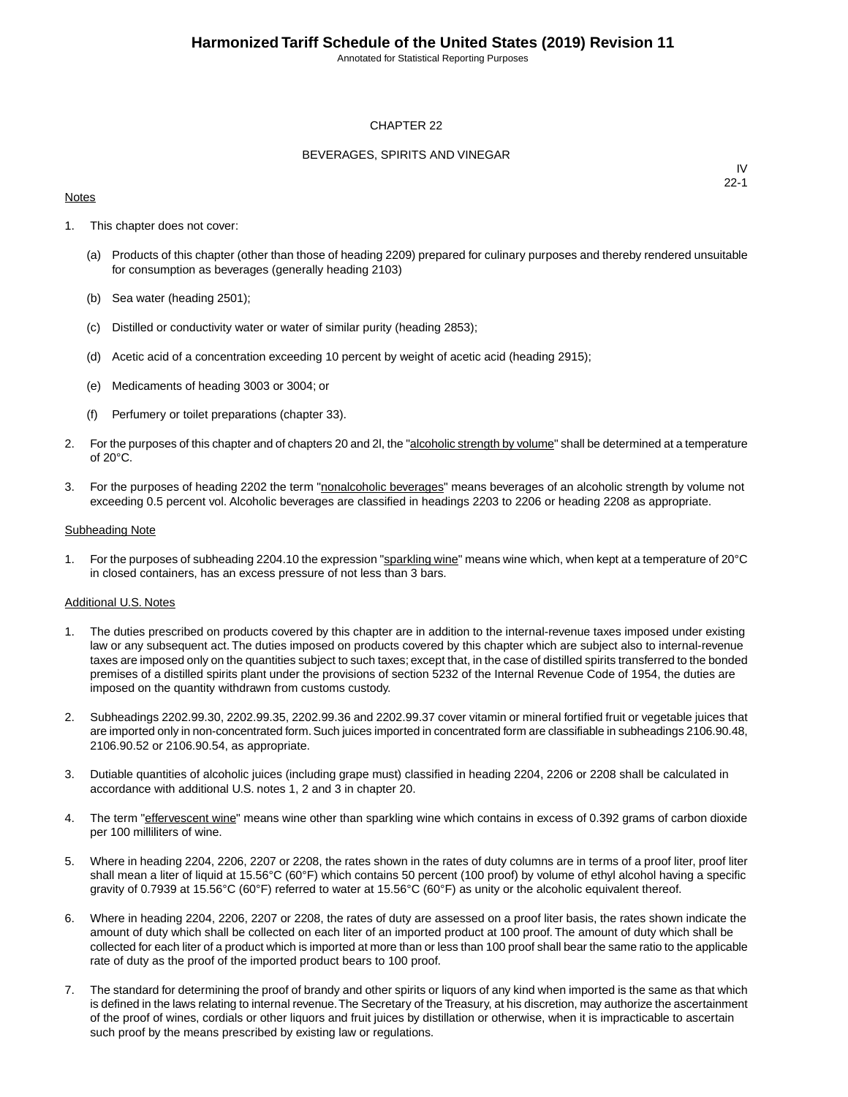Annotated for Statistical Reporting Purposes

#### CHAPTER 22

#### BEVERAGES, SPIRITS AND VINEGAR

#### **Notes**

IV 22-1

- 1. This chapter does not cover:
	- (a) Products of this chapter (other than those of heading 2209) prepared for culinary purposes and thereby rendered unsuitable for consumption as beverages (generally heading 2103)
	- (b) Sea water (heading 2501);
	- (c) Distilled or conductivity water or water of similar purity (heading 2853);
	- (d) Acetic acid of a concentration exceeding 10 percent by weight of acetic acid (heading 2915);
	- (e) Medicaments of heading 3003 or 3004; or
	- (f) Perfumery or toilet preparations (chapter 33).
- 2. For the purposes of this chapter and of chapters 20 and 2l, the "alcoholic strength by volume" shall be determined at a temperature of 20°C.
- 3. For the purposes of heading 2202 the term "nonalcoholic beverages" means beverages of an alcoholic strength by volume not exceeding 0.5 percent vol. Alcoholic beverages are classified in headings 2203 to 2206 or heading 2208 as appropriate.

#### Subheading Note

1. For the purposes of subheading 2204.10 the expression "sparkling wine" means wine which, when kept at a temperature of 20°C in closed containers, has an excess pressure of not less than 3 bars.

#### Additional U.S. Notes

- 1. The duties prescribed on products covered by this chapter are in addition to the internal-revenue taxes imposed under existing law or any subsequent act. The duties imposed on products covered by this chapter which are subject also to internal-revenue taxes are imposed only on the quantities subject to such taxes; except that, in the case of distilled spirits transferred to the bonded premises of a distilled spirits plant under the provisions of section 5232 of the Internal Revenue Code of 1954, the duties are imposed on the quantity withdrawn from customs custody.
- 2. Subheadings 2202.99.30, 2202.99.35, 2202.99.36 and 2202.99.37 cover vitamin or mineral fortified fruit or vegetable juices that are imported only in non-concentrated form. Such juices imported in concentrated form are classifiable in subheadings 2106.90.48, 2106.90.52 or 2106.90.54, as appropriate.
- 3. Dutiable quantities of alcoholic juices (including grape must) classified in heading 2204, 2206 or 2208 shall be calculated in accordance with additional U.S. notes 1, 2 and 3 in chapter 20.
- 4. The term "effervescent wine" means wine other than sparkling wine which contains in excess of 0.392 grams of carbon dioxide per 100 milliliters of wine.
- 5. Where in heading 2204, 2206, 2207 or 2208, the rates shown in the rates of duty columns are in terms of a proof liter, proof liter shall mean a liter of liquid at 15.56°C (60°F) which contains 50 percent (100 proof) by volume of ethyl alcohol having a specific gravity of 0.7939 at 15.56°C (60°F) referred to water at 15.56°C (60°F) as unity or the alcoholic equivalent thereof.
- 6. Where in heading 2204, 2206, 2207 or 2208, the rates of duty are assessed on a proof liter basis, the rates shown indicate the amount of duty which shall be collected on each liter of an imported product at 100 proof. The amount of duty which shall be collected for each liter of a product which is imported at more than or less than 100 proof shall bear the same ratio to the applicable rate of duty as the proof of the imported product bears to 100 proof.
- 7. The standard for determining the proof of brandy and other spirits or liquors of any kind when imported is the same as that which is defined in the laws relating to internal revenue. The Secretary of the Treasury, at his discretion, may authorize the ascertainment of the proof of wines, cordials or other liquors and fruit juices by distillation or otherwise, when it is impracticable to ascertain such proof by the means prescribed by existing law or regulations.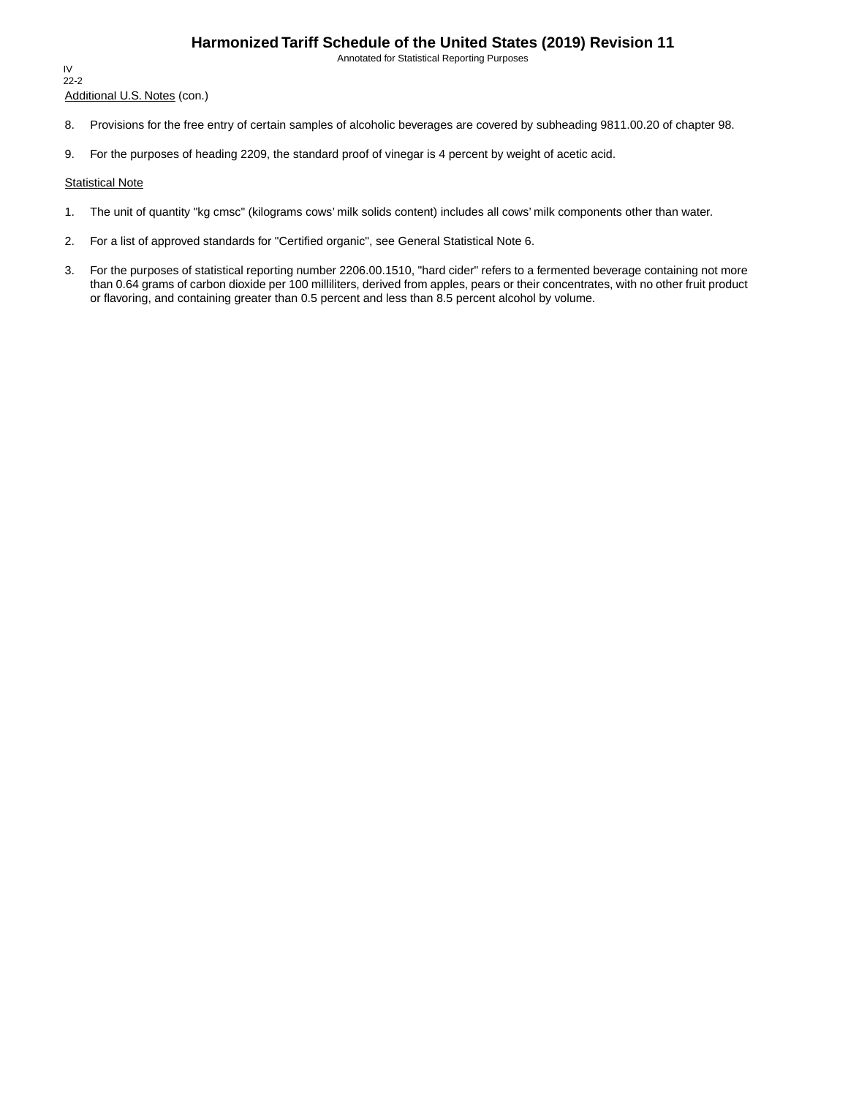Annotated for Statistical Reporting Purposes

Additional U.S. Notes (con.) IV 22-2

- 8. Provisions for the free entry of certain samples of alcoholic beverages are covered by subheading 9811.00.20 of chapter 98.
- 9. For the purposes of heading 2209, the standard proof of vinegar is 4 percent by weight of acetic acid.

#### **Statistical Note**

- 1. The unit of quantity "kg cmsc" (kilograms cows' milk solids content) includes all cows' milk components other than water.
- 2. For a list of approved standards for "Certified organic", see General Statistical Note 6.
- 3. For the purposes of statistical reporting number 2206.00.1510, "hard cider" refers to a fermented beverage containing not more than 0.64 grams of carbon dioxide per 100 milliliters, derived from apples, pears or their concentrates, with no other fruit product or flavoring, and containing greater than 0.5 percent and less than 8.5 percent alcohol by volume.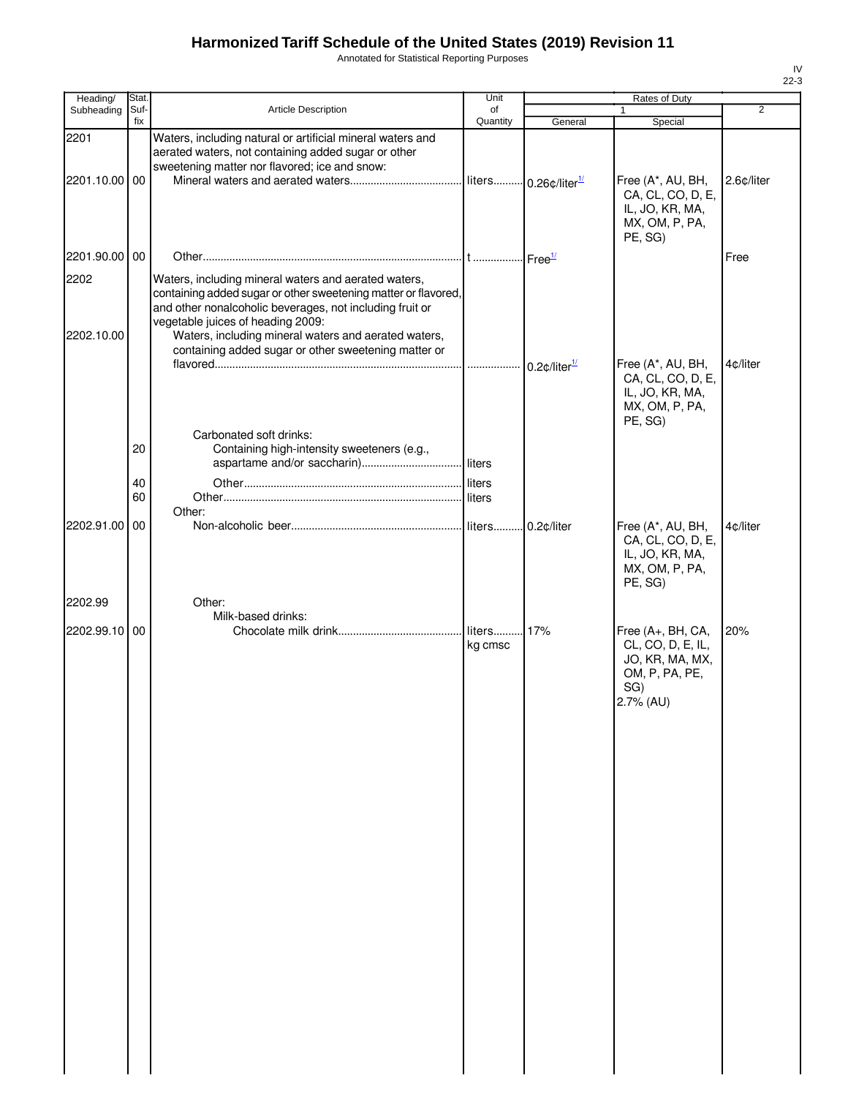Annotated for Statistical Reporting Purposes

| Heading/           | <b>Stat</b> |                                                                                                                                                                                                                                                                                 | Unit                  |                              | Rates of Duty                                                                                   |                |
|--------------------|-------------|---------------------------------------------------------------------------------------------------------------------------------------------------------------------------------------------------------------------------------------------------------------------------------|-----------------------|------------------------------|-------------------------------------------------------------------------------------------------|----------------|
| Subheading         | Suf-<br>fix | Article Description                                                                                                                                                                                                                                                             | of<br>Quantity        | General                      | 1                                                                                               | $\overline{2}$ |
| 2201               |             | Waters, including natural or artificial mineral waters and<br>aerated waters, not containing added sugar or other                                                                                                                                                               |                       |                              | Special                                                                                         |                |
| 2201.10.00 00      |             | sweetening matter nor flavored; ice and snow:                                                                                                                                                                                                                                   |                       | $0.26$ ¢/liter $\frac{1}{2}$ | Free (A*, AU, BH,<br>CA, CL, CO, D, E,<br>IL, JO, KR, MA,<br>MX, OM, P, PA,<br>PE, SG)          | 2.6¢/liter     |
| 2201.90.00 00      |             |                                                                                                                                                                                                                                                                                 |                       |                              |                                                                                                 | Free           |
| 2202<br>2202.10.00 |             | Waters, including mineral waters and aerated waters,<br>containing added sugar or other sweetening matter or flavored,<br>and other nonalcoholic beverages, not including fruit or<br>vegetable juices of heading 2009:<br>Waters, including mineral waters and aerated waters, |                       |                              |                                                                                                 |                |
|                    |             | containing added sugar or other sweetening matter or                                                                                                                                                                                                                            | .                     | $0.2$ ¢/liter $^{1/2}$       | Free (A*, AU, BH,<br>CA, CL, CO, D, E,<br>IL, JO, KR, MA,<br>MX, OM, P, PA,<br>PE, SG)          | 4¢/liter       |
|                    | 20<br>40    | Carbonated soft drinks:<br>Containing high-intensity sweeteners (e.g.,                                                                                                                                                                                                          |                       |                              |                                                                                                 |                |
|                    | 60          |                                                                                                                                                                                                                                                                                 |                       |                              |                                                                                                 |                |
| 2202.91.00         | 00          | Other:                                                                                                                                                                                                                                                                          |                       | 0.2¢/liter                   | Free (A*, AU, BH,<br>CA, CL, CO, D, E,<br>IL, JO, KR, MA,<br>MX, OM, P, PA,<br>PE, SG)          | 4¢/liter       |
| 2202.99            |             | Other:                                                                                                                                                                                                                                                                          |                       |                              |                                                                                                 |                |
| 2202.99.10 00      |             | Milk-based drinks:                                                                                                                                                                                                                                                              | liters 17%<br>kg cmsc |                              | Free (A+, BH, CA,<br>CL, CO, D, E, IL,<br>JO, KR, MA, MX,<br>OM, P, PA, PE,<br>SG)<br>2.7% (AU) | 20%            |
|                    |             |                                                                                                                                                                                                                                                                                 |                       |                              |                                                                                                 |                |
|                    |             |                                                                                                                                                                                                                                                                                 |                       |                              |                                                                                                 |                |
|                    |             |                                                                                                                                                                                                                                                                                 |                       |                              |                                                                                                 |                |
|                    |             |                                                                                                                                                                                                                                                                                 |                       |                              |                                                                                                 |                |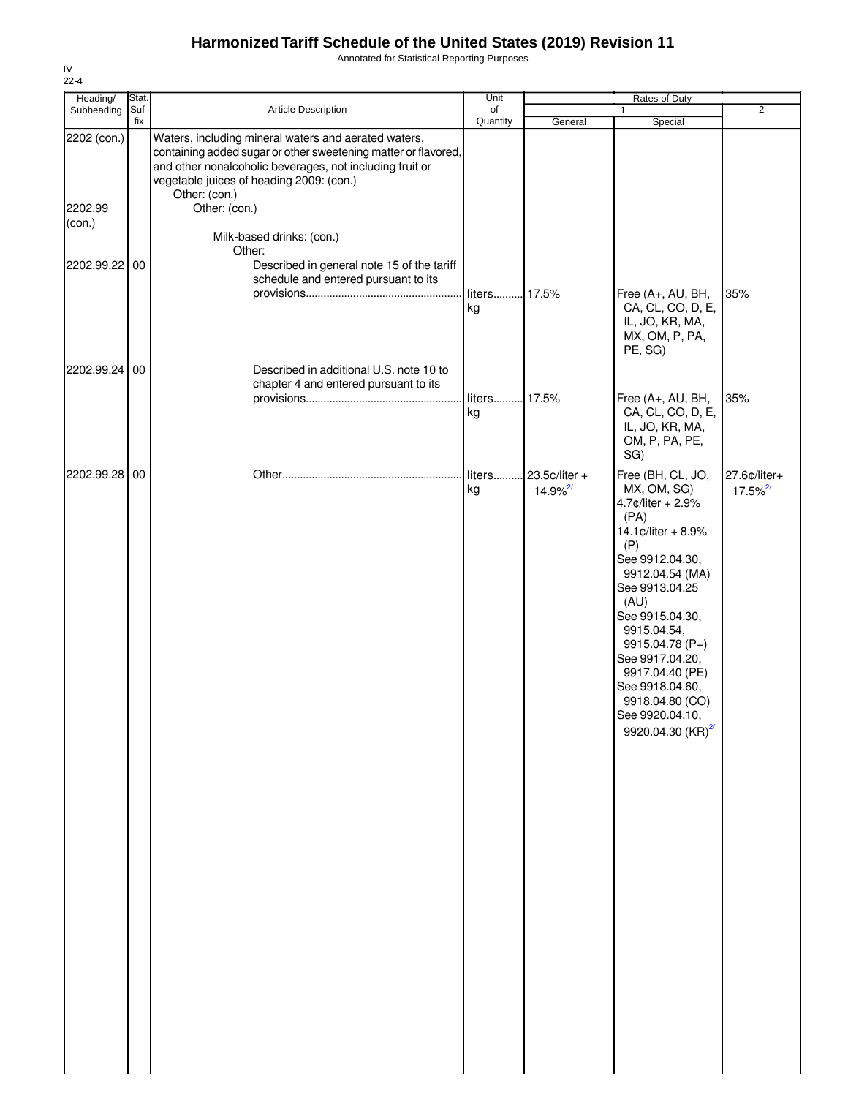Annotated for Statistical Reporting Purposes

| Heading/                         | Stat.       |                                                                                                                                                                                                                                                                                                         | Unit               |                                           | <b>Rates of Duty</b>                                                                                                                                                                                                                                                                                                                      |                                        |
|----------------------------------|-------------|---------------------------------------------------------------------------------------------------------------------------------------------------------------------------------------------------------------------------------------------------------------------------------------------------------|--------------------|-------------------------------------------|-------------------------------------------------------------------------------------------------------------------------------------------------------------------------------------------------------------------------------------------------------------------------------------------------------------------------------------------|----------------------------------------|
| Subheading                       | Suf-<br>fix | Article Description                                                                                                                                                                                                                                                                                     | of<br>Quantity     | General                                   | 1<br>Special                                                                                                                                                                                                                                                                                                                              | $\overline{2}$                         |
| 2202 (con.)<br>2202.99<br>(con.) |             | Waters, including mineral waters and aerated waters,<br>containing added sugar or other sweetening matter or flavored,<br>and other nonalcoholic beverages, not including fruit or<br>vegetable juices of heading 2009: (con.)<br>Other: (con.)<br>Other: (con.)<br>Milk-based drinks: (con.)<br>Other: |                    |                                           |                                                                                                                                                                                                                                                                                                                                           |                                        |
| 2202.99.22 00                    |             | Described in general note 15 of the tariff<br>schedule and entered pursuant to its                                                                                                                                                                                                                      | liters 17.5%<br>kg |                                           | Free (A+, AU, BH,<br>CA, CL, CO, D, E,<br>IL, JO, KR, MA,<br>MX, OM, P, PA,<br>PE, SG)                                                                                                                                                                                                                                                    | 35%                                    |
| 2202.99.24 00                    |             | Described in additional U.S. note 10 to<br>chapter 4 and entered pursuant to its                                                                                                                                                                                                                        | liters 17.5%<br>kg |                                           | Free (A+, AU, BH,<br>CA, CL, CO, D, E,<br>IL, JO, KR, MA,<br>OM, P, PA, PE,<br>SG)                                                                                                                                                                                                                                                        | 35%                                    |
| 2202.99.28 00                    |             |                                                                                                                                                                                                                                                                                                         | liters<br>kg       | . 23.5¢/liter +<br>$14.9\%$ <sup>2/</sup> | Free (BH, CL, JO,<br>MX, OM, SG)<br>4.7¢/liter + 2.9%<br>(PA)<br>14.1¢/liter + 8.9%<br>(P)<br>See 9912.04.30,<br>9912.04.54 (MA)<br>See 9913.04.25<br>(AU)<br>See 9915.04.30,<br>9915.04.54,<br>9915.04.78 (P+)<br>See 9917.04.20,<br>9917.04.40 (PE)<br>See 9918.04.60,<br>9918.04.80 (CO)<br>See 9920.04.10,<br>9920.04.30 $(KR)^{2/2}$ | 27.6¢/liter+<br>$17.5\%$ <sup>2/</sup> |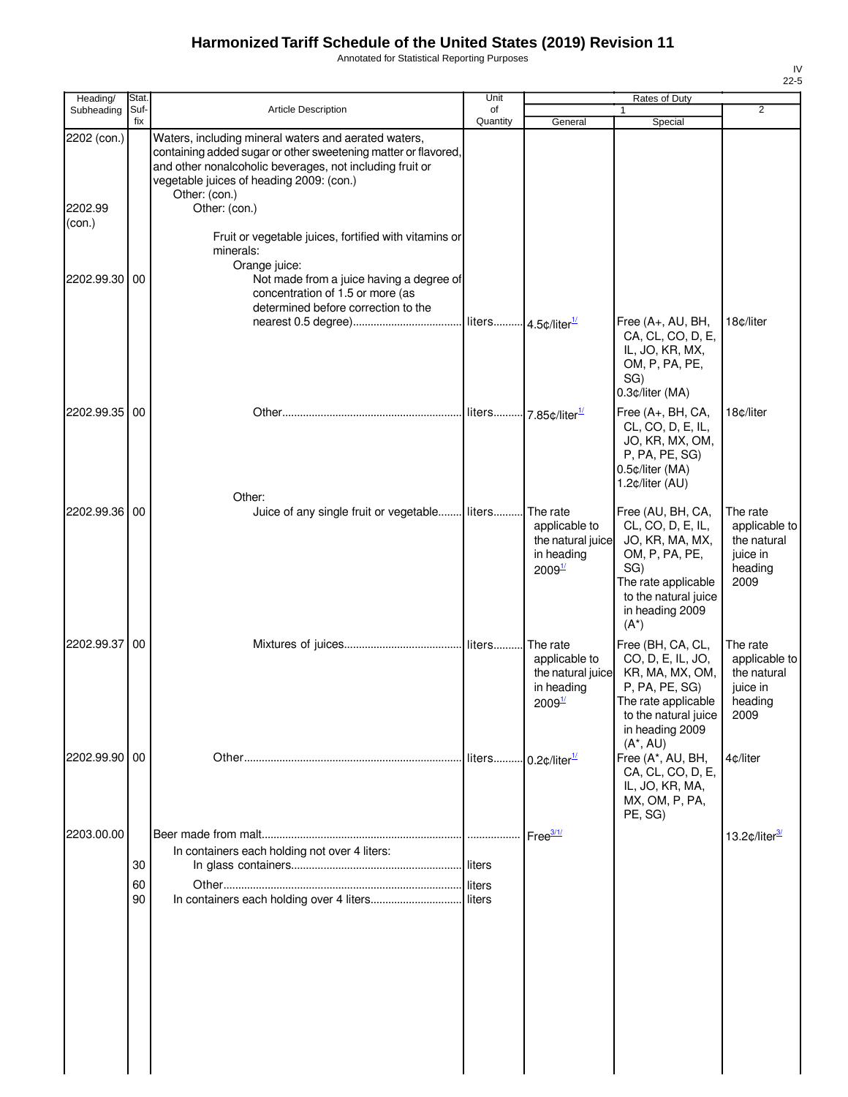Annotated for Statistical Reporting Purposes

| Heading/          | <b>Stat</b> |                                                                                                                                                                                                                                | Unit     |                                                                                    | Rates of Duty                                                                                                                                                   |                                                                         |
|-------------------|-------------|--------------------------------------------------------------------------------------------------------------------------------------------------------------------------------------------------------------------------------|----------|------------------------------------------------------------------------------------|-----------------------------------------------------------------------------------------------------------------------------------------------------------------|-------------------------------------------------------------------------|
| Subheading        | Suf-<br>fix | <b>Article Description</b>                                                                                                                                                                                                     | of       |                                                                                    | 1                                                                                                                                                               | $\overline{2}$                                                          |
| 2202 (con.)       |             | Waters, including mineral waters and aerated waters,<br>containing added sugar or other sweetening matter or flavored,<br>and other nonalcoholic beverages, not including fruit or<br>vegetable juices of heading 2009: (con.) | Quantity | General                                                                            | Special                                                                                                                                                         |                                                                         |
| 2202.99<br>(con.) |             | Other: (con.)<br>Other: (con.)<br>Fruit or vegetable juices, fortified with vitamins or                                                                                                                                        |          |                                                                                    |                                                                                                                                                                 |                                                                         |
|                   |             | minerals:<br>Orange juice:                                                                                                                                                                                                     |          |                                                                                    |                                                                                                                                                                 |                                                                         |
| 2202.99.30        | 00          | Not made from a juice having a degree of<br>concentration of 1.5 or more (as<br>determined before correction to the                                                                                                            |          |                                                                                    |                                                                                                                                                                 |                                                                         |
|                   |             |                                                                                                                                                                                                                                |          |                                                                                    | Free (A+, AU, BH,<br>CA, CL, CO, D, E,<br>IL, JO, KR, MX,<br>OM, P, PA, PE,<br>SG)<br>0.3¢/liter (MA)                                                           | 18¢/liter                                                               |
| 2202.99.35 00     |             |                                                                                                                                                                                                                                |          | liters 7.85¢/liter <sup>1/</sup>                                                   | Free (A+, BH, CA,<br>CL, CO, D, E, IL,<br>JO, KR, MX, OM,<br>P, PA, PE, SG)<br>0.5¢/liter (MA)<br>1.2¢/liter (AU)                                               | 18¢/liter                                                               |
| 2202.99.36 00     |             | Other:<br>Juice of any single fruit or vegetable liters                                                                                                                                                                        |          | The rate<br>applicable to<br>the natural juice<br>in heading<br>2009 <sup>1/</sup> | Free (AU, BH, CA,<br>CL, CO, D, E, IL,<br>JO, KR, MA, MX,<br>OM, P, PA, PE,<br>SG)<br>The rate applicable<br>to the natural juice<br>in heading 2009<br>$(A^*)$ | The rate<br>applicable to<br>the natural<br>juice in<br>heading<br>2009 |
| 2202.99.37        | 00          |                                                                                                                                                                                                                                | liters   | The rate<br>applicable to<br>the natural juice<br>in heading<br>2009 <sup>1/</sup> | Free (BH, CA, CL,<br>CO, D, E, IL, JO,<br>KR, MA, MX, OM,<br>P, PA, PE, SG)<br>The rate applicable<br>to the natural juice<br>in heading 2009                   | The rate<br>applicable to<br>the natural<br>juice in<br>heading<br>2009 |
| 2202.99.90 00     |             |                                                                                                                                                                                                                                | liters   | $0.2$ ¢/liter $^{1/2}$                                                             | $(A^*, AU)$<br>Free (A*, AU, BH,<br>CA, CL, CO, D, E,<br>IL, JO, KR, MA,<br>MX, OM, P, PA,<br>PE, SG)                                                           | 4¢/liter                                                                |
| 2203.00.00        | 30          | In containers each holding not over 4 liters:                                                                                                                                                                                  |          | Free $\frac{3/1}{2}$                                                               |                                                                                                                                                                 | 13.2 $\text{c/liter}^{\frac{3}{2}}$                                     |
|                   | 60<br>90    |                                                                                                                                                                                                                                |          |                                                                                    |                                                                                                                                                                 |                                                                         |
|                   |             |                                                                                                                                                                                                                                |          |                                                                                    |                                                                                                                                                                 |                                                                         |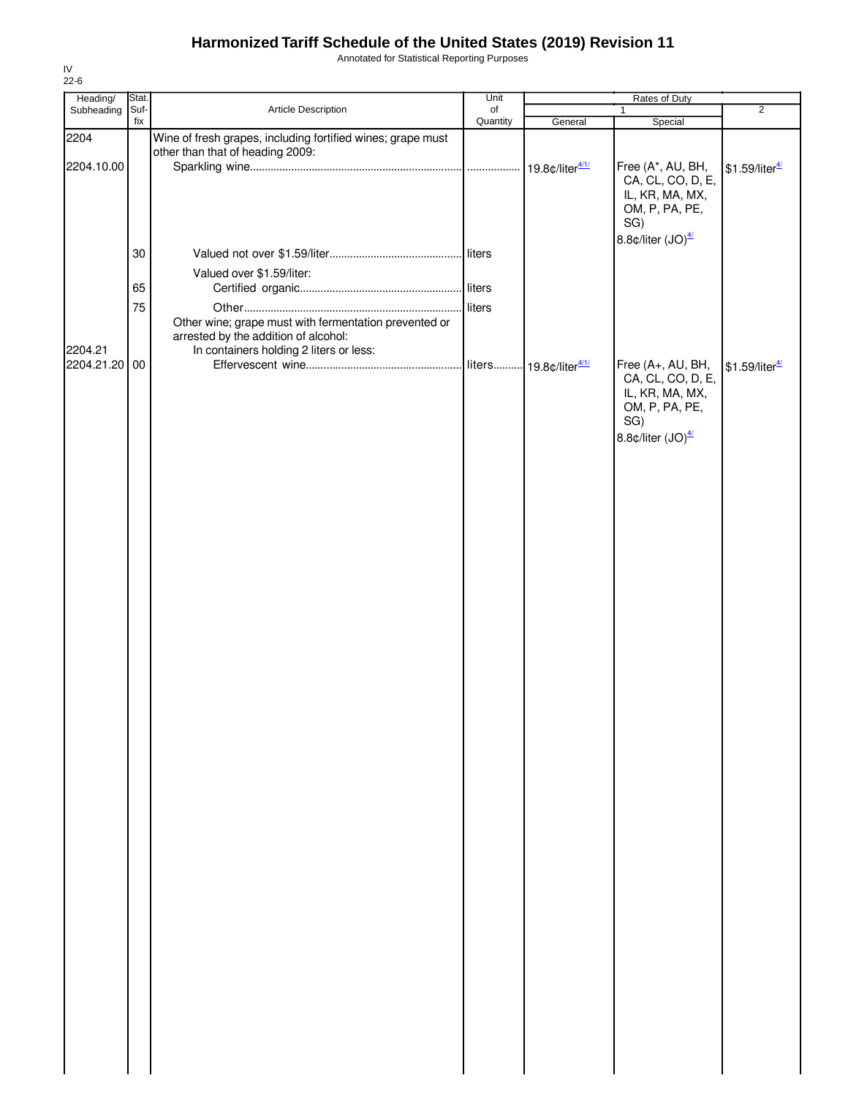Annotated for Statistical Reporting Purposes

| $22-6$        |               |                                                                                                                                          |            |                 |                                                                                                               |                              |
|---------------|---------------|------------------------------------------------------------------------------------------------------------------------------------------|------------|-----------------|---------------------------------------------------------------------------------------------------------------|------------------------------|
| Heading/      | Stat.<br>Suf- |                                                                                                                                          | Unit<br>of |                 | Rates of Duty<br>$\mathbf{1}$                                                                                 | $\overline{2}$               |
| Subheading    | fix           | Article Description                                                                                                                      | Quantity   | General         | Special                                                                                                       |                              |
| 2204          |               | Wine of fresh grapes, including fortified wines; grape must<br>other than that of heading 2009:                                          |            |                 |                                                                                                               |                              |
| 2204.10.00    |               |                                                                                                                                          |            | 19.8¢/liter4/1/ | Free (A*, AU, BH,<br>CA, CL, CO, D, E,<br>IL, KR, MA, MX,<br>OM, P, PA, PE,<br>SG)                            | $$1.59$ /liter <sup>4/</sup> |
|               | 30            |                                                                                                                                          |            |                 | 8.8¢/liter (JO) <sup>4/</sup>                                                                                 |                              |
|               | 65            | Valued over \$1.59/liter:                                                                                                                |            |                 |                                                                                                               |                              |
|               | 75            |                                                                                                                                          | liters     |                 |                                                                                                               |                              |
| 2204.21       |               | Other wine; grape must with fermentation prevented or<br>arrested by the addition of alcohol:<br>In containers holding 2 liters or less: |            |                 |                                                                                                               |                              |
| 2204.21.20 00 |               |                                                                                                                                          |            |                 | Free (A+, AU, BH,<br>CA, CL, CO, D, E,<br>IL, KR, MA, MX,<br>OM, P, PA, PE,<br>SG)<br>8.8¢/liter $(JO)^{4/2}$ | \$1.59/liter <sup>4/</sup>   |
|               |               |                                                                                                                                          |            |                 |                                                                                                               |                              |
|               |               |                                                                                                                                          |            |                 |                                                                                                               |                              |
|               |               |                                                                                                                                          |            |                 |                                                                                                               |                              |
|               |               |                                                                                                                                          |            |                 |                                                                                                               |                              |
|               |               |                                                                                                                                          |            |                 |                                                                                                               |                              |
|               |               |                                                                                                                                          |            |                 |                                                                                                               |                              |
|               |               |                                                                                                                                          |            |                 |                                                                                                               |                              |
|               |               |                                                                                                                                          |            |                 |                                                                                                               |                              |
|               |               |                                                                                                                                          |            |                 |                                                                                                               |                              |

IV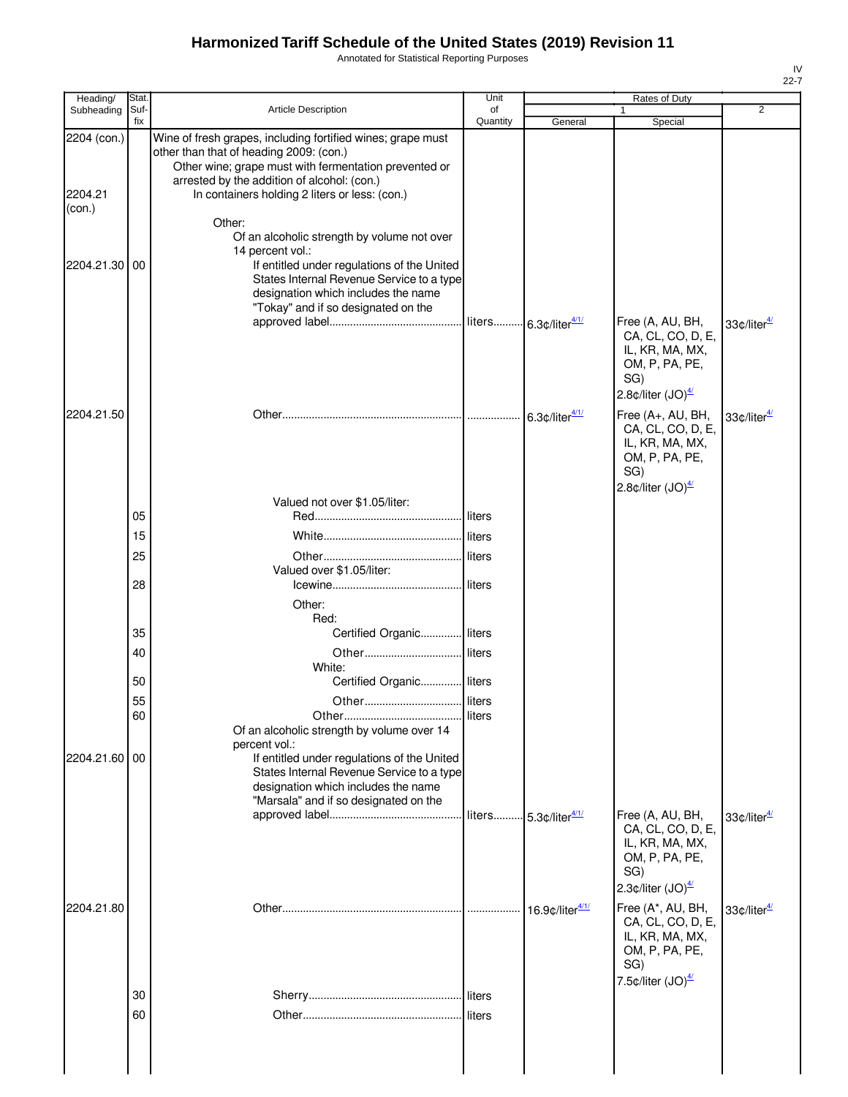Annotated for Statistical Reporting Purposes

| Heading/                         | Stat.       |                                                                                                                                                                                                                                                                                                                           | Unit           |                                             | Rates of Duty                                                                                                                            |                                              |
|----------------------------------|-------------|---------------------------------------------------------------------------------------------------------------------------------------------------------------------------------------------------------------------------------------------------------------------------------------------------------------------------|----------------|---------------------------------------------|------------------------------------------------------------------------------------------------------------------------------------------|----------------------------------------------|
| Subheading                       | Suf-<br>fix | <b>Article Description</b>                                                                                                                                                                                                                                                                                                | of<br>Quantity | General                                     | 1<br>Special                                                                                                                             | $\overline{2}$                               |
| 2204 (con.)<br>2204.21<br>(con.) |             | Wine of fresh grapes, including fortified wines; grape must<br>other than that of heading 2009: (con.)<br>Other wine; grape must with fermentation prevented or<br>arrested by the addition of alcohol: (con.)<br>In containers holding 2 liters or less: (con.)<br>Other:<br>Of an alcoholic strength by volume not over |                |                                             |                                                                                                                                          |                                              |
| 2204.21.30 00                    |             | 14 percent vol.:<br>If entitled under regulations of the United<br>States Internal Revenue Service to a type<br>designation which includes the name<br>"Tokay" and if so designated on the                                                                                                                                |                |                                             |                                                                                                                                          |                                              |
|                                  |             |                                                                                                                                                                                                                                                                                                                           |                | liters 6.3¢/liter4/1/                       | Free (A, AU, BH,<br>CA, CL, CO, D, E,<br>IL, KR, MA, MX,<br>OM, P, PA, PE,<br>SG)<br>2.8¢/liter $(JO)4/2$                                | 33¢/liter <sup>4/</sup>                      |
| 2204.21.50                       |             |                                                                                                                                                                                                                                                                                                                           |                | 6.3 $\text{\degree}$ /liter $\frac{4/1}{1}$ | Free (A+, AU, BH,<br>CA, CL, CO, D, E,<br>IL, KR, MA, MX,<br>OM, P, PA, PE,<br>SG)<br>2.8 $\text{\textdegree}$ /liter (JO) $\frac{4}{2}$ | 33¢/liter <sup>4/</sup>                      |
|                                  |             | Valued not over \$1.05/liter:                                                                                                                                                                                                                                                                                             |                |                                             |                                                                                                                                          |                                              |
|                                  | 05          |                                                                                                                                                                                                                                                                                                                           | liters         |                                             |                                                                                                                                          |                                              |
|                                  | 15          |                                                                                                                                                                                                                                                                                                                           | liters         |                                             |                                                                                                                                          |                                              |
|                                  | 25          | Valued over \$1.05/liter:                                                                                                                                                                                                                                                                                                 | liters         |                                             |                                                                                                                                          |                                              |
|                                  | 28          |                                                                                                                                                                                                                                                                                                                           | liters         |                                             |                                                                                                                                          |                                              |
|                                  |             | Other:<br>Red:                                                                                                                                                                                                                                                                                                            |                |                                             |                                                                                                                                          |                                              |
|                                  | 35          | Certified Organic liters                                                                                                                                                                                                                                                                                                  |                |                                             |                                                                                                                                          |                                              |
|                                  | 40          | Other                                                                                                                                                                                                                                                                                                                     | liters         |                                             |                                                                                                                                          |                                              |
|                                  | 50          | White:<br>Certified Organic liters                                                                                                                                                                                                                                                                                        |                |                                             |                                                                                                                                          |                                              |
|                                  | 55          |                                                                                                                                                                                                                                                                                                                           |                |                                             |                                                                                                                                          |                                              |
|                                  | 60          |                                                                                                                                                                                                                                                                                                                           |                |                                             |                                                                                                                                          |                                              |
|                                  |             | Of an alcoholic strength by volume over 14                                                                                                                                                                                                                                                                                |                |                                             |                                                                                                                                          |                                              |
| 2204.21.60 00                    |             | percent vol.:<br>If entitled under regulations of the United<br>States Internal Revenue Service to a type<br>designation which includes the name<br>"Marsala" and if so designated on the                                                                                                                                 |                |                                             |                                                                                                                                          |                                              |
|                                  |             |                                                                                                                                                                                                                                                                                                                           |                | liters 5.3¢/liter4/1/                       | Free (A, AU, BH,<br>CA, CL, CO, D, E,<br>IL, KR, MA, MX,<br>OM, P, PA, PE,<br>SG)                                                        | 33 $\text{\textdegree}/$ liter $\frac{4}{2}$ |
| 2204.21.80                       |             |                                                                                                                                                                                                                                                                                                                           |                | 16.9¢/liter4/1/                             | 2.3 $\phi$ /liter (JO) $\frac{4}{2}$<br>Free (A*, AU, BH,                                                                                | 33¢/liter <sup>4/</sup>                      |
|                                  |             |                                                                                                                                                                                                                                                                                                                           |                |                                             | CA, CL, CO, D, E,<br>IL, KR, MA, MX,<br>OM, P, PA, PE,<br>SG)<br>7.5 $\text{\textdegree}$ /liter (JO) $\frac{4}{2}$                      |                                              |
|                                  | 30          |                                                                                                                                                                                                                                                                                                                           | liters         |                                             |                                                                                                                                          |                                              |
|                                  | 60          |                                                                                                                                                                                                                                                                                                                           | liters         |                                             |                                                                                                                                          |                                              |
|                                  |             |                                                                                                                                                                                                                                                                                                                           |                |                                             |                                                                                                                                          |                                              |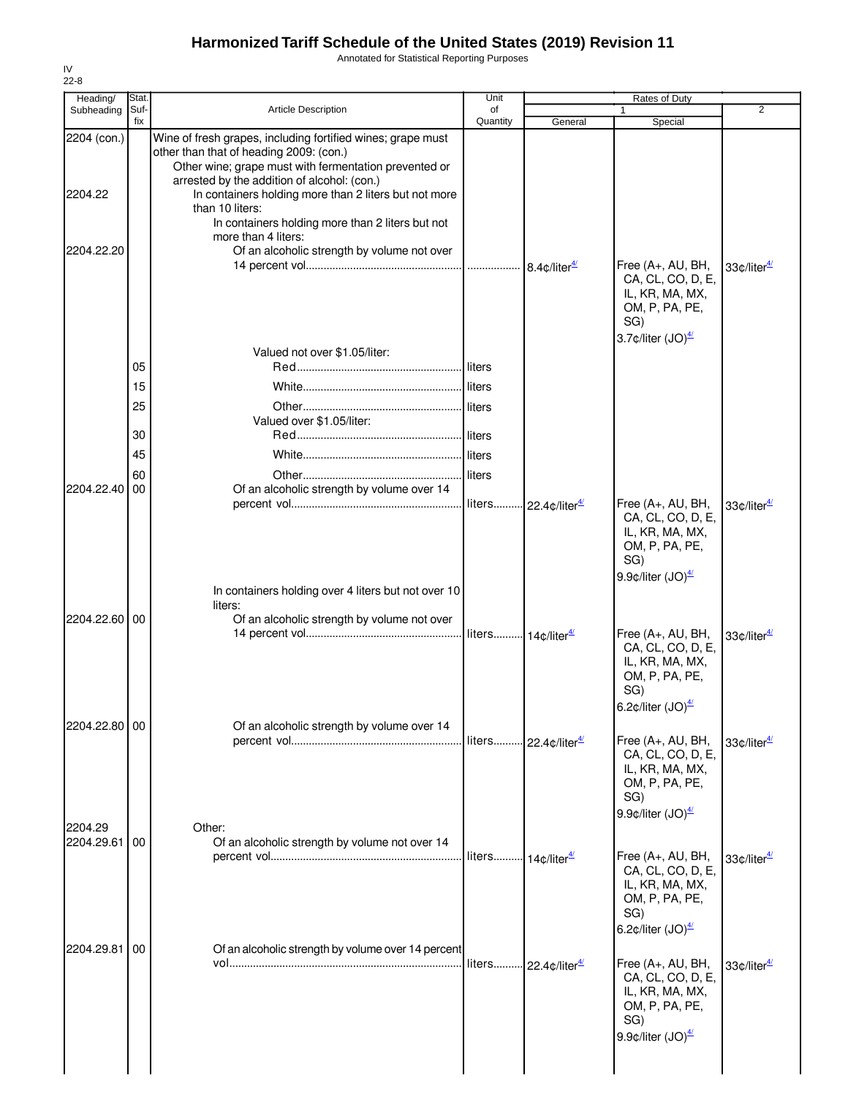Annotated for Statistical Reporting Purposes

| Heading/               | Stat.       |                                                                                                                                                                                                                                                                                                                                                | Unit                           |                                           | Rates of Duty                                                                                                                                     |                          |
|------------------------|-------------|------------------------------------------------------------------------------------------------------------------------------------------------------------------------------------------------------------------------------------------------------------------------------------------------------------------------------------------------|--------------------------------|-------------------------------------------|---------------------------------------------------------------------------------------------------------------------------------------------------|--------------------------|
| Subheading             | Suf-<br>fix | <b>Article Description</b>                                                                                                                                                                                                                                                                                                                     | of<br>Quantity                 | General                                   | Special                                                                                                                                           | $\overline{2}$           |
| 2204 (con.)<br>2204.22 |             | Wine of fresh grapes, including fortified wines; grape must<br>other than that of heading 2009: (con.)<br>Other wine; grape must with fermentation prevented or<br>arrested by the addition of alcohol: (con.)<br>In containers holding more than 2 liters but not more<br>than 10 liters:<br>In containers holding more than 2 liters but not |                                |                                           |                                                                                                                                                   |                          |
| 2204.22.20             |             | more than 4 liters:<br>Of an alcoholic strength by volume not over                                                                                                                                                                                                                                                                             |                                | 8.4 $\text{\degree}$ /liter $\frac{4}{3}$ | Free (A+, AU, BH,<br>CA, CL, CO, D, E,<br>IL, KR, MA, MX,<br>OM, P, PA, PE,<br>SG)<br>3.7 $\text{\textdegree}$ /liter (JO) $\frac{4}{2}$          | 33¢/liter <sup>4/</sup>  |
|                        |             | Valued not over \$1.05/liter:                                                                                                                                                                                                                                                                                                                  |                                |                                           |                                                                                                                                                   |                          |
|                        | 05          |                                                                                                                                                                                                                                                                                                                                                | l liters                       |                                           |                                                                                                                                                   |                          |
|                        | 15          |                                                                                                                                                                                                                                                                                                                                                |                                |                                           |                                                                                                                                                   |                          |
|                        | 25          |                                                                                                                                                                                                                                                                                                                                                | liters                         |                                           |                                                                                                                                                   |                          |
|                        | 30          | Valued over \$1.05/liter:                                                                                                                                                                                                                                                                                                                      |                                |                                           |                                                                                                                                                   |                          |
|                        |             |                                                                                                                                                                                                                                                                                                                                                |                                |                                           |                                                                                                                                                   |                          |
|                        | 45          |                                                                                                                                                                                                                                                                                                                                                |                                |                                           |                                                                                                                                                   |                          |
| 2204.22.40             | 60<br>00    | Of an alcoholic strength by volume over 14                                                                                                                                                                                                                                                                                                     |                                |                                           |                                                                                                                                                   |                          |
|                        |             |                                                                                                                                                                                                                                                                                                                                                | liters                         | 22.4¢/liter <sup>4/</sup>                 | Free (A+, AU, BH,<br>CA, CL, CO, D, E,<br>IL, KR, MA, MX,<br>OM, P, PA, PE,<br>SG)<br>9.9 $\phi$ /liter (JO) $\frac{4}{2}$                        | 33¢/liter <sup>4/</sup>  |
|                        |             | In containers holding over 4 liters but not over 10                                                                                                                                                                                                                                                                                            |                                |                                           |                                                                                                                                                   |                          |
|                        |             | liters:                                                                                                                                                                                                                                                                                                                                        |                                |                                           |                                                                                                                                                   |                          |
| 2204.22.60 00          |             | Of an alcoholic strength by volume not over                                                                                                                                                                                                                                                                                                    |                                |                                           | Free (A+, AU, BH,<br>CA, CL, CO, D, E,<br>IL, KR, MA, MX,<br>OM, P, PA, PE,<br>SG)<br>6.2 $\text{\textdegree}$ /liter $\text{(JO)}^{\frac{4}{2}}$ | 33¢/liter <sup>4/</sup>  |
| 2204.22.80 00          |             | Of an alcoholic strength by volume over 14                                                                                                                                                                                                                                                                                                     |                                |                                           |                                                                                                                                                   |                          |
|                        |             |                                                                                                                                                                                                                                                                                                                                                |                                | liters 22.4¢/liter <sup>4/</sup>          | Free (A+, AU, BH,<br>CA, CL, CO, D, E,<br>IL, KR, MA, MX,<br>OM, P, PA, PE,<br>SG)<br>9.9 $\phi$ /liter (JO) $\frac{4}{2}$                        | 33¢/liter <sup>4/1</sup> |
| 2204.29<br>2204.29.61  | 00          | Other:<br>Of an alcoholic strength by volume not over 14                                                                                                                                                                                                                                                                                       |                                |                                           |                                                                                                                                                   |                          |
|                        |             |                                                                                                                                                                                                                                                                                                                                                | liters 14¢/liter <sup>4/</sup> |                                           | Free (A+, AU, BH,<br>CA, CL, CO, D, E,<br>IL, KR, MA, MX,<br>OM, P, PA, PE,<br>SG)<br>6.2 $\text{c/liter}$ (JO) $\frac{47}{1}$                    | 33¢/liter <sup>4/1</sup> |
| 2204.29.81             | 00          | Of an alcoholic strength by volume over 14 percent                                                                                                                                                                                                                                                                                             |                                | liters 22.4¢/liter <sup>4/</sup>          | Free (A+, AU, BH,<br>CA, CL, CO, D, E,<br>IL, KR, MA, MX,<br>OM, P, PA, PE,<br>SG)<br>9.9 $\phi$ /liter (JO) $\frac{47}{2}$                       | 33¢/liter <sup>4/</sup>  |
|                        |             |                                                                                                                                                                                                                                                                                                                                                |                                |                                           |                                                                                                                                                   |                          |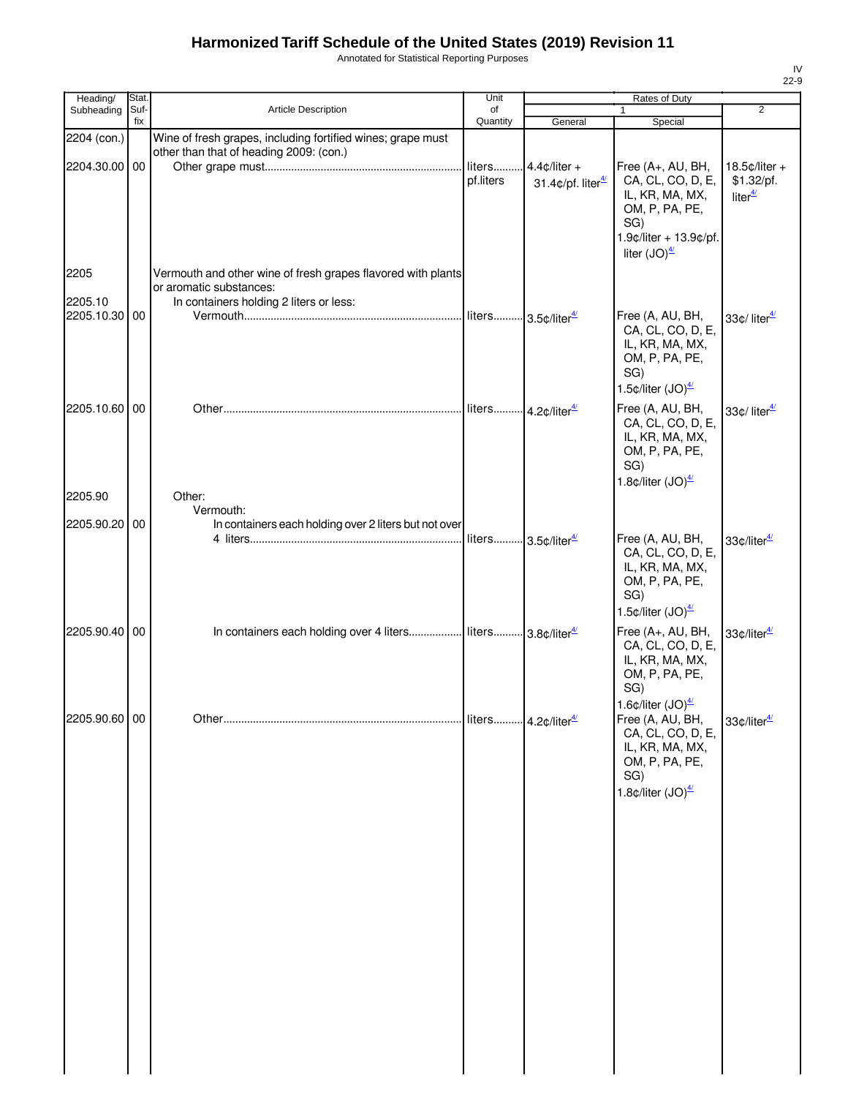Annotated for Statistical Reporting Purposes

| Heading/        | Stat.       |                                                                                                                                    | Unit                            |                                                         | Rates of Duty                                                                                                                                                                                     |                                                       |
|-----------------|-------------|------------------------------------------------------------------------------------------------------------------------------------|---------------------------------|---------------------------------------------------------|---------------------------------------------------------------------------------------------------------------------------------------------------------------------------------------------------|-------------------------------------------------------|
| Subheading      | Suf-<br>fix | Article Description                                                                                                                | of<br>Quantity                  | General                                                 | 1<br>Special                                                                                                                                                                                      | $\overline{2}$                                        |
| 2204 (con.)     |             | Wine of fresh grapes, including fortified wines; grape must<br>other than that of heading 2009: (con.)                             |                                 |                                                         |                                                                                                                                                                                                   |                                                       |
| 2204.30.00 00   |             |                                                                                                                                    | liters<br>pf.liters             | $4.4$ ¢/liter +<br>31.4 $\phi$ /pf. liter $\frac{4}{3}$ | Free (A+, AU, BH,<br>CA, CL, CO, D, E,<br>IL, KR, MA, MX,<br>OM, P, PA, PE,<br>SG)                                                                                                                | $18.5$ ¢/liter +<br>\$1.32/pf.<br>liter $\frac{4}{3}$ |
|                 |             |                                                                                                                                    |                                 |                                                         | 1.9¢/liter + 13.9¢/pf.<br>liter $(JO)^{4/2}$                                                                                                                                                      |                                                       |
| 2205<br>2205.10 |             | Vermouth and other wine of fresh grapes flavored with plants<br>or aromatic substances:<br>In containers holding 2 liters or less: |                                 |                                                         |                                                                                                                                                                                                   |                                                       |
| 2205.10.30 00   |             |                                                                                                                                    | liters 3.5¢/liter4/             |                                                         | Free (A, AU, BH,<br>CA, CL, CO, D, E,<br>IL, KR, MA, MX,<br>OM, P, PA, PE,<br>SG)                                                                                                                 | 33 $\phi$ / liter $\frac{47}{1}$                      |
|                 |             |                                                                                                                                    |                                 |                                                         | 1.5 $\text{\textdegree}$ /liter (JO) $\frac{4}{2}$                                                                                                                                                |                                                       |
| 2205.10.60 00   |             |                                                                                                                                    |                                 |                                                         | Free (A, AU, BH,<br>CA, CL, CO, D, E,<br>IL, KR, MA, MX,<br>OM, P, PA, PE,<br>SG)<br>1.8 $\text{\textdegree}$ /liter (JO) $\frac{4}{2}$                                                           | 33¢/liter <sup>4/1</sup>                              |
| 2205.90         |             | Other:                                                                                                                             |                                 |                                                         |                                                                                                                                                                                                   |                                                       |
| 2205.90.20 00   |             | Vermouth:<br>In containers each holding over 2 liters but not over                                                                 |                                 |                                                         |                                                                                                                                                                                                   |                                                       |
|                 |             |                                                                                                                                    | liters 3.5¢/liter4/             |                                                         | Free (A, AU, BH,<br>CA, CL, CO, D, E,<br>IL, KR, MA, MX,<br>OM, P, PA, PE,<br>SG)                                                                                                                 | 33¢/liter <sup>4/</sup>                               |
| 2205.90.40 00   |             | In containers each holding over 4 liters  liters  3.8¢/liter <sup>4/</sup>                                                         |                                 |                                                         | 1.5 $\text{c/liter}$ (JO) $\frac{47}{1}$<br>Free (A+, AU, BH,<br>CA, CL, CO, D, E,<br>IL, KR, MA, MX,<br>OM, P, PA, PE,                                                                           | 33¢/liter <sup>4/</sup>                               |
| 2205.90.60 00   |             |                                                                                                                                    | liters 4.2¢/liter <sup>4/</sup> |                                                         | SG)<br>1.6 $\text{\textdegree}$ /liter $\text{(JO)}^{\frac{4}{}}$<br>Free (A, AU, BH,<br>CA, CL, CO, D, E,<br>IL, KR, MA, MX,<br>OM, P, PA, PE,<br>SG)<br>1.8 $\text{c/liter}$ (JO) $\frac{4}{2}$ | 33¢/liter <sup>4/</sup>                               |
|                 |             |                                                                                                                                    |                                 |                                                         |                                                                                                                                                                                                   |                                                       |
|                 |             |                                                                                                                                    |                                 |                                                         |                                                                                                                                                                                                   |                                                       |
|                 |             |                                                                                                                                    |                                 |                                                         |                                                                                                                                                                                                   |                                                       |
|                 |             |                                                                                                                                    |                                 |                                                         |                                                                                                                                                                                                   |                                                       |
|                 |             |                                                                                                                                    |                                 |                                                         |                                                                                                                                                                                                   |                                                       |
|                 |             |                                                                                                                                    |                                 |                                                         |                                                                                                                                                                                                   |                                                       |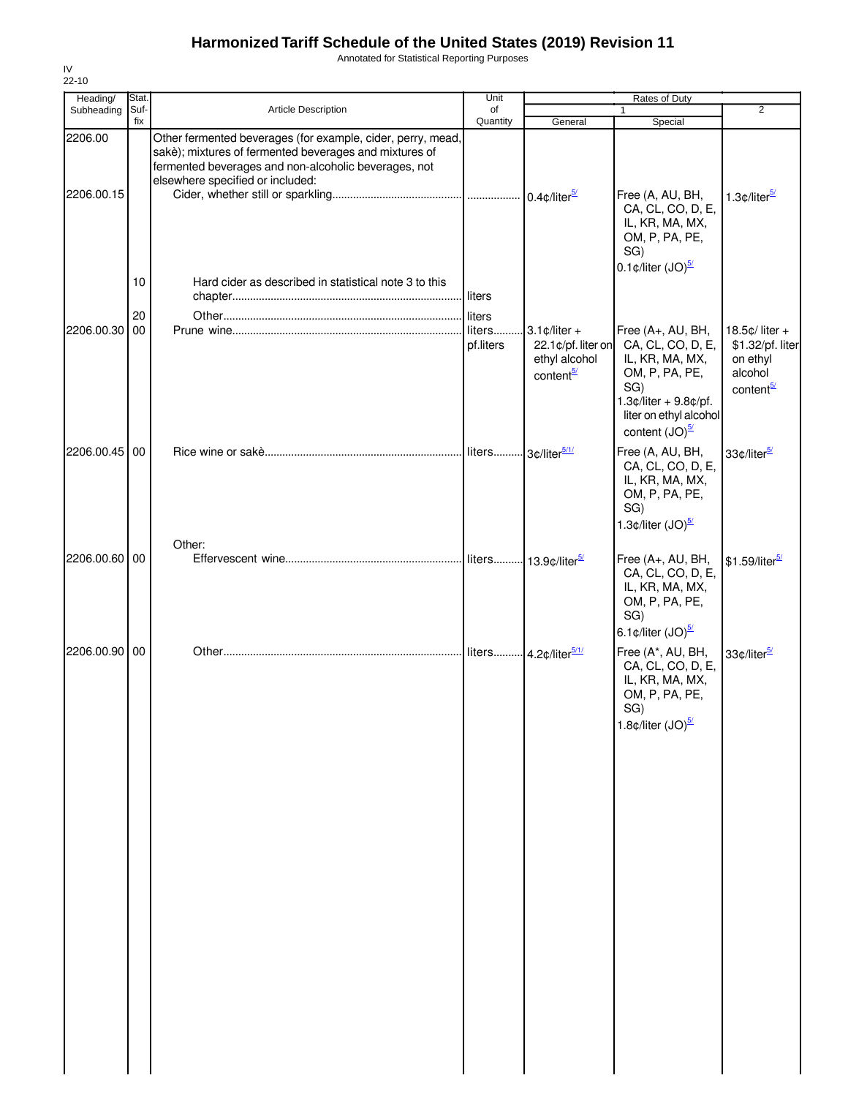Annotated for Statistical Reporting Purposes

| Heading/              | Stat.          |                                                                                                                                                                                                                   | Unit                            |                                                                                              | Rates of Duty                                                                                                                                                            |                                                                                        |
|-----------------------|----------------|-------------------------------------------------------------------------------------------------------------------------------------------------------------------------------------------------------------------|---------------------------------|----------------------------------------------------------------------------------------------|--------------------------------------------------------------------------------------------------------------------------------------------------------------------------|----------------------------------------------------------------------------------------|
| Subheading            | Suf-<br>fix    | <b>Article Description</b>                                                                                                                                                                                        | of<br>Quantity                  | General                                                                                      | $\mathbf{1}$<br>Special                                                                                                                                                  | $\overline{2}$                                                                         |
| 2206.00<br>2206.00.15 |                | Other fermented beverages (for example, cider, perry, mead,<br>sakè); mixtures of fermented beverages and mixtures of<br>fermented beverages and non-alcoholic beverages, not<br>elsewhere specified or included: |                                 |                                                                                              | Free (A, AU, BH,<br>CA, CL, CO, D, E,<br>IL, KR, MA, MX,<br>OM, P, PA, PE,<br>SG)<br>0.1 $\text{c/liter}$ (JO) $\frac{5}{2}$                                             | 1.3¢/liter <sup>5/</sup>                                                               |
| 2206.00.30            | 10<br>20<br>00 | Hard cider as described in statistical note 3 to this                                                                                                                                                             | liters<br>liters<br>pf.liters   | $3.1 \text{ } \phi$ /liter +<br>22.1¢/pf. liter on<br>ethyl alcohol<br>content <sup>5/</sup> | Free (A+, AU, BH,<br>CA, CL, CO, D, E,<br>IL, KR, MA, MX,<br>OM, P, PA, PE,<br>SG)<br>$1.3$ ¢/liter + 9.8¢/pf.<br>liter on ethyl alcohol<br>content $(JO)^{\frac{5}{2}}$ | 18.5 $¢$ / liter +<br>\$1.32/pf. liter<br>on ethyl<br>alcohol<br>content <sup>5/</sup> |
| 2206.00.45            | 00             |                                                                                                                                                                                                                   | liters 3¢/liter <sup>5/1/</sup> |                                                                                              | Free (A, AU, BH,<br>CA, CL, CO, D, E,<br>IL, KR, MA, MX,<br>OM, P, PA, PE,<br>SG)<br>1.3 $\text{\textdegree}$ /liter (JO) $\frac{5}{2}$                                  | 33¢/liter <sup>5/1</sup>                                                               |
| 2206.00.60 00         |                | Other:                                                                                                                                                                                                            |                                 | liters 13.9¢/liter <sup>5/</sup>                                                             | Free (A+, AU, BH,<br>CA, CL, CO, D, E,<br>IL, KR, MA, MX,<br>OM, P, PA, PE,<br>SG)<br>6.1 $\text{\textdegree}$ /liter (JO) $\frac{5}{2}$                                 | \$1.59/liter <sup>5/</sup>                                                             |
| 2206.00.90 00         |                |                                                                                                                                                                                                                   |                                 |                                                                                              | Free (A*, AU, BH,<br>CA, CL, CO, D, E,<br>IL, KR, MA, MX,<br>OM, P, PA, PE,<br>SG)<br>1.8 $\text{\textdegree}$ /liter (JO) $\frac{5}{2}$                                 | 33¢/liter <sup>5/1</sup>                                                               |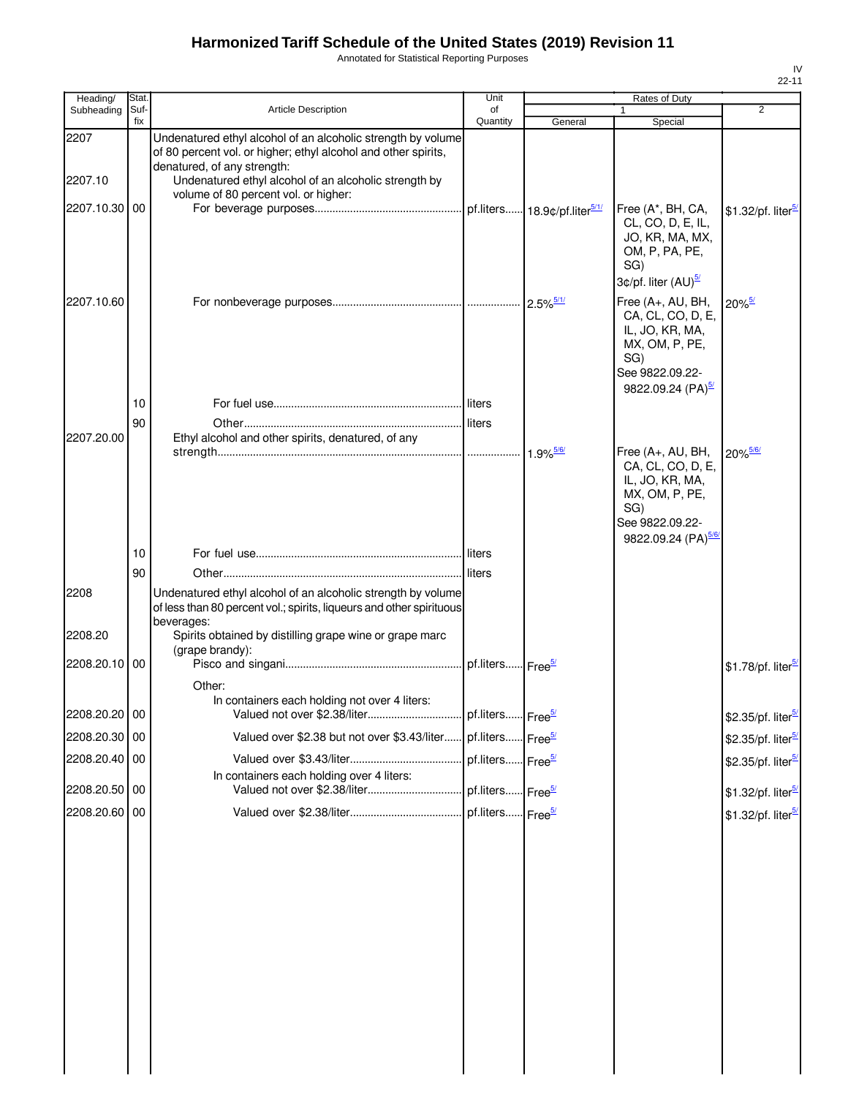Annotated for Statistical Reporting Purposes

| Heading/                         | Stat.       |                                                                                                                                                                                                                                                                | Unit                         |                         | Rates of Duty                                                                                                                           |                                |
|----------------------------------|-------------|----------------------------------------------------------------------------------------------------------------------------------------------------------------------------------------------------------------------------------------------------------------|------------------------------|-------------------------|-----------------------------------------------------------------------------------------------------------------------------------------|--------------------------------|
| Subheading                       | Suf-<br>fix | <b>Article Description</b>                                                                                                                                                                                                                                     | of<br>Quantity               | General                 | 1<br>Special                                                                                                                            | $\overline{2}$                 |
| 2207<br>2207.10<br>2207.10.30 00 |             | Undenatured ethyl alcohol of an alcoholic strength by volume<br>of 80 percent vol. or higher; ethyl alcohol and other spirits,<br>denatured, of any strength:<br>Undenatured ethyl alcohol of an alcoholic strength by<br>volume of 80 percent vol. or higher: |                              |                         | Free (A*, BH, CA,                                                                                                                       | \$1.32/pf. liter <sup>5/</sup> |
|                                  |             |                                                                                                                                                                                                                                                                |                              |                         | CL, CO, D, E, IL,<br>JO, KR, MA, MX,<br>OM, P, PA, PE,<br>SG)<br>3¢/pf. liter (AU) <sup>5/</sup>                                        |                                |
| 2207.10.60                       |             |                                                                                                                                                                                                                                                                |                              | $2.5\%$ <sup>5/1/</sup> | Free (A+, AU, BH,<br>CA, CL, CO, D, E,<br>IL, JO, KR, MA,<br>MX, OM, P, PE,<br>SG)<br>See 9822.09.22-<br>9822.09.24 (PA) <sup>5/2</sup> | $20\%$ <sup>5/</sup>           |
|                                  | 10          |                                                                                                                                                                                                                                                                |                              |                         |                                                                                                                                         |                                |
|                                  | 90          |                                                                                                                                                                                                                                                                |                              |                         |                                                                                                                                         |                                |
| 2207.20.00                       |             | Ethyl alcohol and other spirits, denatured, of any                                                                                                                                                                                                             |                              | $1.9\%$ <sup>5/6/</sup> | Free (A+, AU, BH,<br>CA, CL, CO, D, E,<br>IL, JO, KR, MA,<br>MX, OM, P, PE,<br>SG)<br>See 9822.09.22-<br>9822.09.24 (PA) <sup>5/6</sup> | 20% 5/6/                       |
|                                  | 10          |                                                                                                                                                                                                                                                                |                              |                         |                                                                                                                                         |                                |
|                                  | 90          |                                                                                                                                                                                                                                                                |                              |                         |                                                                                                                                         |                                |
| 2208                             |             | Undenatured ethyl alcohol of an alcoholic strength by volume<br>of less than 80 percent vol.; spirits, liqueurs and other spirituous<br>beverages:                                                                                                             |                              |                         |                                                                                                                                         |                                |
| 2208.20<br>2208.20.10 00         |             | Spirits obtained by distilling grape wine or grape marc<br>(grape brandy):                                                                                                                                                                                     | pf.liters Free <sup>5/</sup> |                         |                                                                                                                                         | \$1.78/pf. liter <sup>5</sup>  |
|                                  |             | Other:                                                                                                                                                                                                                                                         |                              |                         |                                                                                                                                         |                                |
|                                  |             | In containers each holding not over 4 liters:                                                                                                                                                                                                                  |                              |                         |                                                                                                                                         |                                |
| 2208.20.20 00                    |             |                                                                                                                                                                                                                                                                |                              |                         |                                                                                                                                         | \$2.35/pf. liter <sup>5/</sup> |
| 2208.20.30 00                    |             | Valued over \$2.38 but not over \$3.43/liter pf.liters Free <sup>5/</sup>                                                                                                                                                                                      |                              |                         |                                                                                                                                         | \$2.35/pf. liter <sup>5/</sup> |
| 2208.20.40 00                    |             |                                                                                                                                                                                                                                                                | pf.liters Free <sup>5/</sup> |                         |                                                                                                                                         | \$2.35/pf. liter <sup>5/</sup> |
| 2208.20.50 00                    |             | In containers each holding over 4 liters:                                                                                                                                                                                                                      | pf.liters Free <sup>5/</sup> |                         |                                                                                                                                         | \$1.32/pf. liter <sup>5/</sup> |
| 2208.20.60 00                    |             |                                                                                                                                                                                                                                                                | pf.liters Free <sup>5/</sup> |                         |                                                                                                                                         | \$1.32/pf. liter <sup>5/</sup> |
|                                  |             |                                                                                                                                                                                                                                                                |                              |                         |                                                                                                                                         |                                |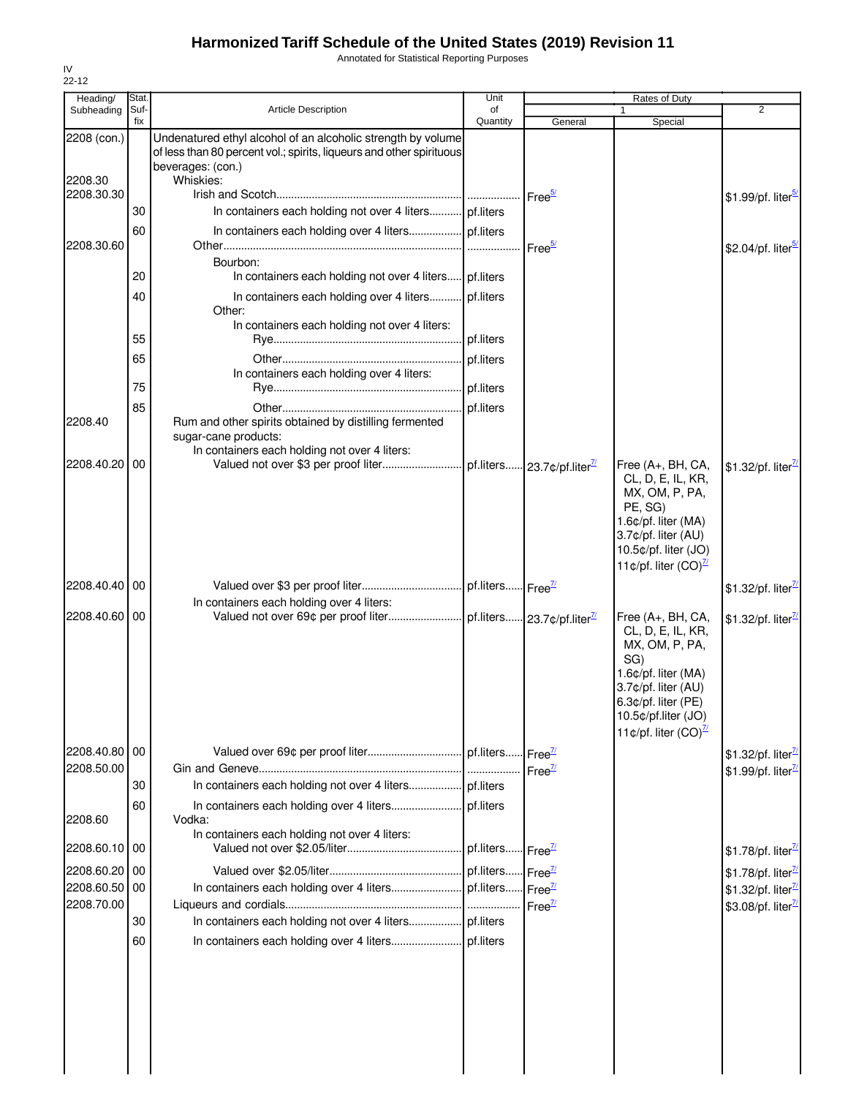Annotated for Statistical Reporting Purposes

| Heading/               | Stat.       |                                                                                                                                                                        | Unit           |                                        | Rates of Duty                                                                                                                                                                                     |                                 |
|------------------------|-------------|------------------------------------------------------------------------------------------------------------------------------------------------------------------------|----------------|----------------------------------------|---------------------------------------------------------------------------------------------------------------------------------------------------------------------------------------------------|---------------------------------|
| Subheading             | Suf-<br>fix | <b>Article Description</b>                                                                                                                                             | of<br>Quantity | General                                | $\mathbf{1}$<br>Special                                                                                                                                                                           | $\overline{2}$                  |
| 2208 (con.)<br>2208.30 |             | Undenatured ethyl alcohol of an alcoholic strength by volume<br>of less than 80 percent vol.; spirits, liqueurs and other spirituous<br>beverages: (con.)<br>Whiskies: |                |                                        |                                                                                                                                                                                                   |                                 |
| 2208.30.30             | 30          | In containers each holding not over 4 liters pf.liters                                                                                                                 |                | Free <sup>5/</sup>                     |                                                                                                                                                                                                   | \$1.99/pf. liter <sup>5/</sup>  |
| 2208.30.60             | 60          |                                                                                                                                                                        |                | Free <sup>5/</sup>                     |                                                                                                                                                                                                   | \$2.04/pf. liter <sup>5/</sup>  |
|                        | 20          | Bourbon:<br>In containers each holding not over 4 liters pf.liters                                                                                                     |                |                                        |                                                                                                                                                                                                   |                                 |
|                        | 40          | In containers each holding over 4 liters pf.liters<br>Other:                                                                                                           |                |                                        |                                                                                                                                                                                                   |                                 |
|                        | 55          | In containers each holding not over 4 liters:                                                                                                                          | pf.liters      |                                        |                                                                                                                                                                                                   |                                 |
|                        | 65          |                                                                                                                                                                        | pf.liters      |                                        |                                                                                                                                                                                                   |                                 |
|                        |             | In containers each holding over 4 liters:                                                                                                                              |                |                                        |                                                                                                                                                                                                   |                                 |
|                        | 75          |                                                                                                                                                                        |                |                                        |                                                                                                                                                                                                   |                                 |
|                        | 85          |                                                                                                                                                                        | pf.liters      |                                        |                                                                                                                                                                                                   |                                 |
| 2208.40                |             | Rum and other spirits obtained by distilling fermented<br>sugar-cane products:<br>In containers each holding not over 4 liters:                                        |                |                                        |                                                                                                                                                                                                   |                                 |
| 2208.40.20 00          |             | Valued not over \$3 per proof liter                                                                                                                                    |                | pf.liters 23.7¢/pf.liter <sup>71</sup> | Free (A+, BH, CA,<br>CL, D, E, IL, KR,<br>MX, OM, P, PA,<br>PE, SG)<br>1.6¢/pf. liter (MA)<br>3.7¢/pf. liter (AU)<br>10.5¢/pf. liter (JO)<br>11¢/pf. liter $(CO)^{\frac{7}{2}}$                   | \$1.32/pf. liter $\frac{7}{2}$  |
| 2208.40.40 00          |             |                                                                                                                                                                        |                |                                        |                                                                                                                                                                                                   | \$1.32/pf. liter <sup>77</sup>  |
| 2208.40.60 00          |             | In containers each holding over 4 liters:                                                                                                                              |                |                                        |                                                                                                                                                                                                   |                                 |
|                        |             |                                                                                                                                                                        |                |                                        | Free (A+, BH, CA,<br>CL, D, E, IL, KR,<br>MX, OM, P, PA,<br>SG)<br>1.6¢/pf. liter (MA)<br>3.7¢/pf. liter (AU)<br>6.3¢/pf. liter (PE)<br>10.5¢/pf.liter (JO)<br>11¢/pf. liter $(CO)^{\frac{7}{2}}$ | \$1.32/pf. liter <sup>7</sup>   |
| 2208.40.80 00          |             |                                                                                                                                                                        |                |                                        |                                                                                                                                                                                                   | \$1.32/pf. liter <sup>77</sup>  |
| 2208.50.00             |             |                                                                                                                                                                        |                | Free <sup>71</sup>                     |                                                                                                                                                                                                   | \$1.99/pf. liter <sup>77</sup>  |
|                        | 30          |                                                                                                                                                                        |                |                                        |                                                                                                                                                                                                   |                                 |
| 2208.60                | 60          | Vodka:<br>In containers each holding not over 4 liters:                                                                                                                |                |                                        |                                                                                                                                                                                                   |                                 |
| 2208.60.10 00          |             |                                                                                                                                                                        |                | Free $\frac{77}{2}$                    |                                                                                                                                                                                                   | \$1.78/pf. liter <sup>7</sup>   |
| 2208.60.20             | 00          |                                                                                                                                                                        | pf.liters      | $Free^{\mathbb{Z}}$                    |                                                                                                                                                                                                   | \$1.78/pf. liter $\frac{7}{2}$  |
| 2208.60.50             | 00          |                                                                                                                                                                        |                | $Free^{\frac{7}{2}}$                   |                                                                                                                                                                                                   | \$1.32/pf. liter <sup>7/1</sup> |
| 2208.70.00             |             |                                                                                                                                                                        |                | $Free^{\mathbb{Z}}$                    |                                                                                                                                                                                                   | \$3.08/pf. liter <sup>71</sup>  |
|                        | 30          |                                                                                                                                                                        |                |                                        |                                                                                                                                                                                                   |                                 |
|                        | 60          |                                                                                                                                                                        |                |                                        |                                                                                                                                                                                                   |                                 |
|                        |             |                                                                                                                                                                        |                |                                        |                                                                                                                                                                                                   |                                 |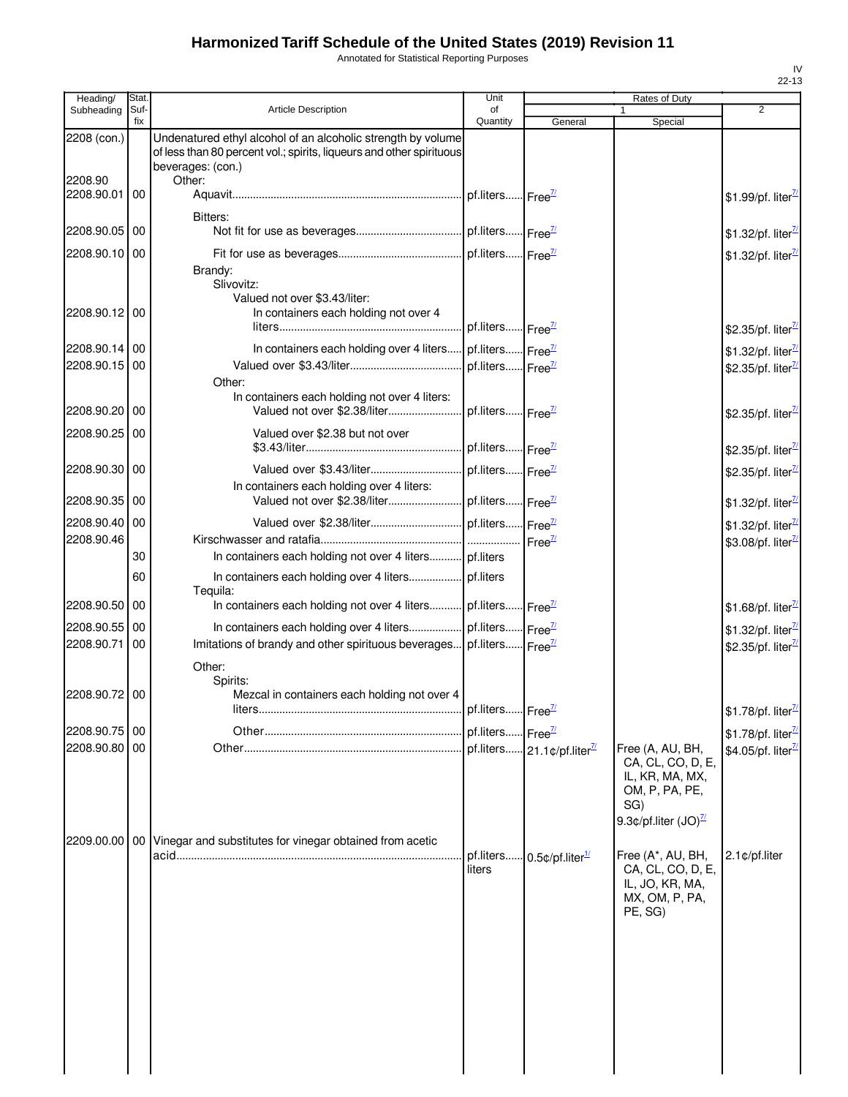Annotated for Statistical Reporting Purposes

| Heading/                 | Stat.       |                                                                                                                                                           | Unit                         |                                        | Rates of Duty                                                                                      |                                                                   |
|--------------------------|-------------|-----------------------------------------------------------------------------------------------------------------------------------------------------------|------------------------------|----------------------------------------|----------------------------------------------------------------------------------------------------|-------------------------------------------------------------------|
| Subheading               | Suf-<br>fix | <b>Article Description</b>                                                                                                                                | of<br>Quantity               | General                                | 1<br>Special                                                                                       | $\overline{2}$                                                    |
| 2208 (con.)              |             | Undenatured ethyl alcohol of an alcoholic strength by volume<br>of less than 80 percent vol.; spirits, liqueurs and other spirituous<br>beverages: (con.) |                              |                                        |                                                                                                    |                                                                   |
| 2208.90<br>2208.90.01    | 00          | Other:                                                                                                                                                    | pf.liters Free <sup>7/</sup> |                                        |                                                                                                    | \$1.99/pf. liter <sup>77</sup>                                    |
| 2208.90.05 00            |             | Bitters:                                                                                                                                                  |                              |                                        |                                                                                                    | \$1.32/pf. liter $\frac{\pi}{2}$                                  |
| 2208.90.10               | 00          | Brandy:                                                                                                                                                   |                              |                                        |                                                                                                    | \$1.32/pf. liter <sup>7/1</sup>                                   |
| 2208.90.12 00            |             | Slivovitz:<br>Valued not over \$3.43/liter:<br>In containers each holding not over 4                                                                      | pf.liters Free <sup>71</sup> |                                        |                                                                                                    | \$2.35/pf. liter <sup>71</sup>                                    |
|                          |             |                                                                                                                                                           |                              |                                        |                                                                                                    |                                                                   |
| 2208.90.14 00            |             | In containers each holding over 4 liters                                                                                                                  | pf.liters Free <sup>7/</sup> |                                        |                                                                                                    | \$1.32/pf. liter <sup>7/1</sup>                                   |
| 2208.90.15               | 00          |                                                                                                                                                           | pf.liters Free <sup>7/</sup> |                                        |                                                                                                    | \$2.35/pf. liter <sup>7/2</sup>                                   |
| 2208.90.20 00            |             | Other:<br>In containers each holding not over 4 liters:<br>Valued not over \$2.38/liter                                                                   | pf.liters Free <sup>71</sup> |                                        |                                                                                                    | \$2.35/pf. liter <sup>71</sup>                                    |
| 2208.90.25               | 00          | Valued over \$2.38 but not over                                                                                                                           | pf.liters Free <sup>71</sup> |                                        |                                                                                                    | \$2.35/pf. liter <sup>77</sup>                                    |
| 2208.90.30 00            |             |                                                                                                                                                           |                              |                                        |                                                                                                    |                                                                   |
| 2208.90.35               | 00          | In containers each holding over 4 liters:                                                                                                                 |                              |                                        |                                                                                                    | \$2.35/pf. liter <sup>7/2</sup>                                   |
|                          |             |                                                                                                                                                           |                              |                                        |                                                                                                    | \$1.32/pf. liter $\frac{\pi}{2}$                                  |
| 2208.90.40<br>2208.90.46 | 00          |                                                                                                                                                           | pf.liters Free <sup>7/</sup> |                                        |                                                                                                    | \$1.32/pf. liter <sup>7/</sup><br>\$3.08/pf. liter <sup>7/2</sup> |
|                          | 30          | In containers each holding not over 4 liters pf.liters                                                                                                    |                              |                                        |                                                                                                    |                                                                   |
|                          | 60          | In containers each holding over 4 liters pf.liters<br>Tequila:                                                                                            |                              |                                        |                                                                                                    |                                                                   |
| 2208.90.50 00            |             | In containers each holding not over 4 liters pf.liters Free <sup>71</sup>                                                                                 |                              |                                        |                                                                                                    | \$1.68/pf. liter $\frac{\pi}{2}$                                  |
| 2208.90.55               | 00          |                                                                                                                                                           |                              |                                        |                                                                                                    | \$1.32/pf. liter <sup>7/</sup>                                    |
| 2208.90.71               | 00          | Imitations of brandy and other spirituous beverages pf.liters Free <sup>11</sup>                                                                          |                              |                                        |                                                                                                    | \$2.35/pf. liter <sup>7/</sup>                                    |
|                          |             | Other:<br>Spirits:                                                                                                                                        |                              |                                        |                                                                                                    |                                                                   |
| 2208.90.72 00            |             | Mezcal in containers each holding not over 4<br>liters.                                                                                                   | pf.liters Free <sup>71</sup> |                                        |                                                                                                    | \$1.78/pf. liter <sup>7/</sup>                                    |
| 2208.90.75 00            |             |                                                                                                                                                           | pf.liters Free <sup>11</sup> |                                        |                                                                                                    | \$1.78/pf. liter <sup>7/</sup>                                    |
| 2208.90.80 00            |             |                                                                                                                                                           |                              | pf.liters 21.1¢/pf.liter <sup>7/</sup> | Free (A, AU, BH,                                                                                   | \$4.05/pf. liter <sup>7/</sup>                                    |
|                          |             |                                                                                                                                                           |                              |                                        | CA, CL, CO, D, E,<br>IL, KR, MA, MX,<br>OM, P, PA, PE,<br>SG)<br>9.3¢/pf.liter $(JO)^{\mathbb{Z}}$ |                                                                   |
| 2209.00.00               | 00          | Vinegar and substitutes for vinegar obtained from acetic                                                                                                  | pf.liters<br>liters          | $0.5$ ¢/pf.liter $\frac{1}{2}$         | Free (A*, AU, BH,<br>CA, CL, CO, D, E,<br>IL, JO, KR, MA,<br>MX, OM, P, PA,<br>PE, SG)             | 2.1¢/pf.liter                                                     |
|                          |             |                                                                                                                                                           |                              |                                        |                                                                                                    |                                                                   |